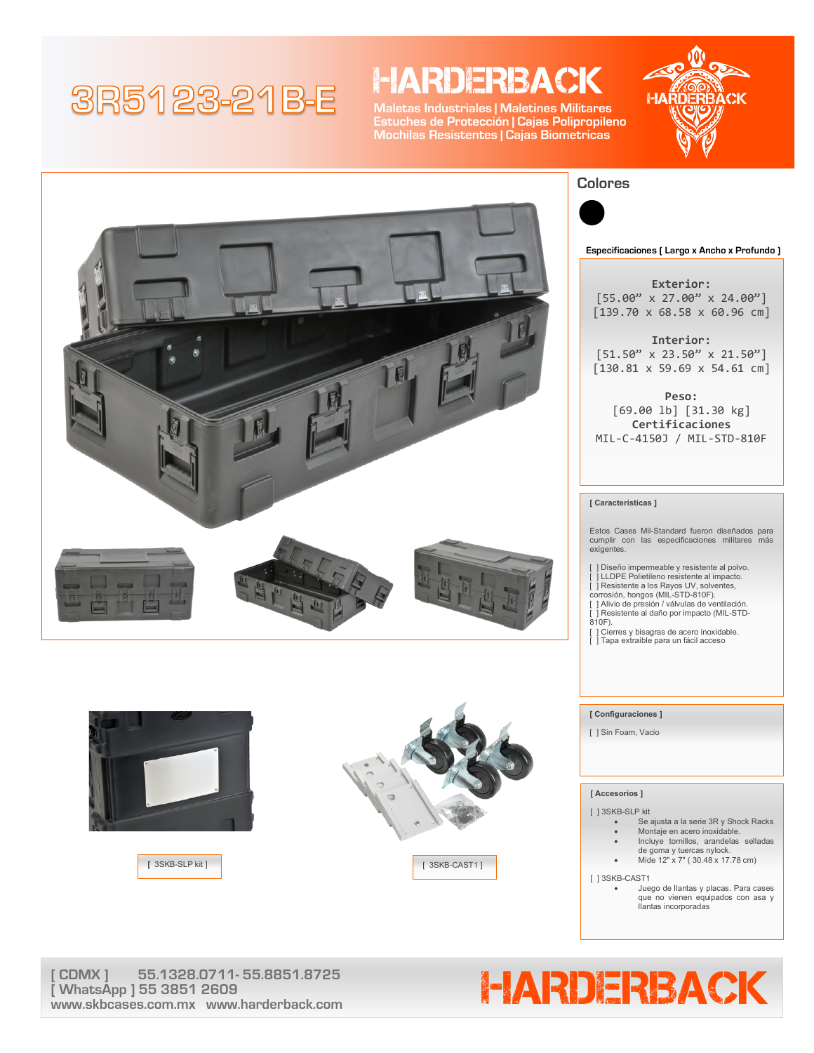# 3R5123-21B-E

### **HARDERBACK**

**Maletas Industriales | Maletines Militares Estuches de Protección | Cajas Polipropileno Mochilas Resistentes | Cajas Biometricas**











**Especificaciones ( Largo x Ancho x Profundo )**

**Exterior:** [55.00" x 27.00" x 24.00"] [139.70 x 68.58 x 60.96 cm]

**Interior:**  $[51.50" \times 23.50" \times 21.50"]$ [130.81 x 59.69 x 54.61 cm]

**Peso:** [69.00 lb] [31.30 kg] **Certificaciones** MIL-C-4150J / MIL-STD-810F

#### **[ Características ]**

Estos Cases Mil-Standard fueron diseñados para cumplir con las especificaciones militares más exigentes.

- [ ] Diseño impermeable y resistente al polvo. [ ] LLDPE Polietileno resistente al impacto.
- [ ] Resistente a los Rayos UV, solventes,
- 
- corrosión, hongos (MIL-STD-810F). [ ] Alivio de presión / válvulas de ventilación.
- .<br>| Resistente al daño por impacto (MIL-STD-810F).
- [ ] Cierres y bisagras de acero inoxidable.
- [ ] Tapa extraíble para un fácil acceso

#### **[ Configuraciones ]**

[ ] Sin Foam, Vacio

#### **[ Accesorios ]**

[ ] 3SKB-SLP kit

- Se ajusta a la serie 3R y Shock Racks Montaje en acero inoxidable.
- Incluye tornillos, arandelas selladas
- 
- de goma y tuercas nylock. Mide 12" x 7" ( 30.48 x 17.78 cm)

[ ] 3SKB-CAST1

• Juego de llantas y placas. Para cases que no vienen equipados con asa y llantas incorporadas

**[ WhatsApp ] 55 3851 2609 www.skbcases.com.mx www.harderback.com**

# CDMX ] 55.1328.0711-55.8851.8725<br>WhatsApp ] 55.3851.2609<br>MatsApp ] 55.3851.2609